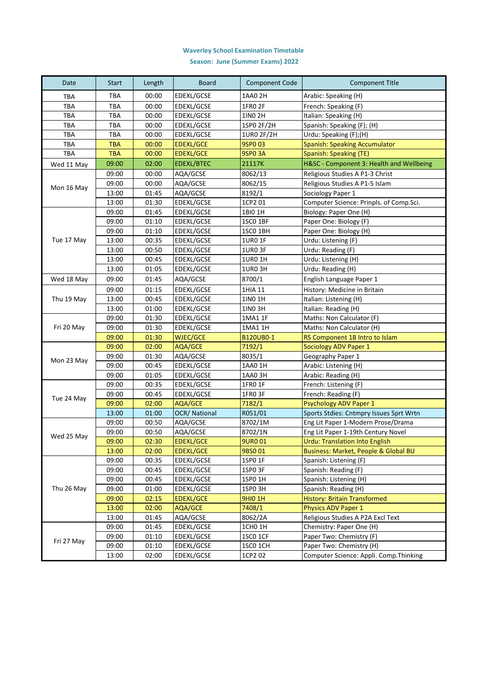## **Waverley School Examination Timetable**

**Season: June (Summer Exams) 2022**

| Date       | <b>Start</b> | Length | <b>Board</b>        | <b>Component Code</b> | <b>Component Title</b>                   |
|------------|--------------|--------|---------------------|-----------------------|------------------------------------------|
| <b>TBA</b> | <b>TBA</b>   | 00:00  | <b>EDEXL/GCSE</b>   | 1AA0 2H               | Arabic: Speaking (H)                     |
| <b>TBA</b> | <b>TBA</b>   | 00:00  | EDEXL/GCSE          | 1FR0 2F               | French: Speaking (F)                     |
| <b>TBA</b> | TBA          | 00:00  | EDEXL/GCSE          | 1IN0 2H               | Italian: Speaking (H)                    |
| <b>TBA</b> | TBA          | 00:00  | <b>EDEXL/GCSE</b>   | 1SP0 2F/2H            | Spanish: Speaking (F); (H)               |
| <b>TBA</b> | <b>TBA</b>   | 00:00  | <b>EDEXL/GCSE</b>   | 1UR0 2F/2H            | Urdu: Speaking (F);(H)                   |
| TBA        | <b>TBA</b>   | 00:00  | <b>EDEXL/GCE</b>    | 9SP0 03               | Spanish: Speaking Accumulator            |
| <b>TBA</b> | <b>TBA</b>   | 00:00  | <b>EDEXL/GCE</b>    | <b>9SPO 3A</b>        | Spanish: Speaking (TE)                   |
| Wed 11 May | 09:00        | 02:00  | <b>EDEXL/BTEC</b>   | 21117K                | H&SC - Component 3: Health and Wellbeing |
|            | 09:00        | 00:00  | AQA/GCSE            | 8062/13               | Religious Studies A P1-3 Christ          |
| Mon 16 May | 09:00        | 00:00  | AQA/GCSE            | 8062/15               | Religious Studies A P1-5 Islam           |
|            | 13:00        | 01:45  | AQA/GCSE            | 8192/1                | Sociology Paper 1                        |
|            | 13:00        | 01:30  | EDEXL/GCSE          | 1CP2 01               | Computer Science: Prinpls. of Comp.Sci.  |
|            | 09:00        | 01:45  | EDEXL/GCSE          | 1BI0 1H               | Biology: Paper One (H)                   |
|            | 09:00        | 01:10  | EDEXL/GCSE          | 1SCO 1BF              | Paper One: Biology (F)                   |
|            | 09:00        | 01:10  | <b>EDEXL/GCSE</b>   | 1SCO 1BH              | Paper One: Biology (H)                   |
| Tue 17 May | 13:00        | 00:35  | EDEXL/GCSE          | <b>1UR0 1F</b>        | Urdu: Listening (F)                      |
|            | 13:00        | 00:50  | EDEXL/GCSE          | 1UR0 3F               | Urdu: Reading (F)                        |
|            | 13:00        | 00:45  | EDEXL/GCSE          | 1UR0 1H               | Urdu: Listening (H)                      |
|            | 13:00        | 01:05  | EDEXL/GCSE          | 1UR03H                | Urdu: Reading (H)                        |
| Wed 18 May | 09:00        | 01:45  | AQA/GCSE            | 8700/1                | English Language Paper 1                 |
|            | 09:00        | 01:15  | <b>EDEXL/GCSE</b>   | 1HIA 11               | History: Medicine in Britain             |
| Thu 19 May | 13:00        | 00:45  | EDEXL/GCSE          | 1IN0 1H               | Italian: Listening (H)                   |
|            | 13:00        | 01:00  | EDEXL/GCSE          | 1IN0 3H               | Italian: Reading (H)                     |
|            | 09:00        | 01:30  | EDEXL/GCSE          | 1MA1 1F               | Maths: Non Calculator (F)                |
| Fri 20 May | 09:00        | 01:30  | EDEXL/GCSE          | 1MA1 1H               | Maths: Non Calculator (H)                |
|            | 09:00        | 01:30  | <b>WJEC/GCE</b>     | B120UB0-1             | RS Component 1B Intro to Islam           |
|            | 09:00        | 02:00  | AQA/GCE             | 7192/1                | Sociology ADV Paper 1                    |
|            | 09:00        | 01:30  | AQA/GCSE            | 8035/1                | Geography Paper 1                        |
| Mon 23 May | 09:00        | 00:45  | EDEXL/GCSE          | 1AA0 1H               | Arabic: Listening (H)                    |
|            | 09:00        | 01:05  | EDEXL/GCSE          | 1AA0 3H               | Arabic: Reading (H)                      |
|            | 09:00        | 00:35  | EDEXL/GCSE          | 1FR0 1F               | French: Listening (F)                    |
|            | 09:00        | 00:45  | <b>EDEXL/GCSE</b>   | 1FRO 3F               | French: Reading (F)                      |
| Tue 24 May | 09:00        | 02:00  | AQA/GCE             | 7182/1                | <b>Psychology ADV Paper 1</b>            |
|            | 13:00        | 01:00  | <b>OCR/National</b> | R051/01               | Sports Stdies: Cntmpry Issues Sprt Wrtn  |
|            | 09:00        | 00:50  | AQA/GCSE            | 8702/1M               | Eng Lit Paper 1-Modern Prose/Drama       |
| Wed 25 May | 09:00        | 00:50  | AQA/GCSE            | 8702/1N               | Eng Lit Paper 1-19th Century Novel       |
|            | 09:00        | 02:30  | EDEXL/GCE           | <b>9URO 01</b>        | <b>Urdu: Translation Into English</b>    |
|            | 13:00        | 02:00  | <b>EDEXL/GCE</b>    | 9BS001                | Business: Market, People & Global BU     |
| Thu 26 May | 09:00        | 00:35  | EDEXL/GCSE          | 1SP0 1F               | Spanish: Listening (F)                   |
|            | 09:00        | 00:45  | EDEXL/GCSE          | 1SPO 3F               | Spanish: Reading (F)                     |
|            | 09:00        | 00:45  | EDEXL/GCSE          | 1SP0 1H               | Spanish: Listening (H)                   |
|            | 09:00        | 01:00  | EDEXL/GCSE          | 1SPO 3H               | Spanish: Reading (H)                     |
|            | 09:00        | 02:15  | EDEXL/GCE           | <b>9HIO 1H</b>        | History: Britain Transformed             |
|            | 13:00        | 02:00  | AQA/GCE             | 7408/1                | <b>Physics ADV Paper 1</b>               |
|            | 13:00        | 01:45  | AQA/GCSE            | 8062/2A               | Religious Studies A P2A Excl Text        |
| Fri 27 May | 09:00        | 01:45  | EDEXL/GCSE          | 1CH0 1H               | Chemistry: Paper One (H)                 |
|            | 09:00        | 01:10  | EDEXL/GCSE          | <b>1SC0 1CF</b>       | Paper Two: Chemistry (F)                 |
|            | 09:00        | 01:10  | EDEXL/GCSE          | 1SCO 1CH              | Paper Two: Chemistry (H)                 |
|            | 13:00        | 02:00  | EDEXL/GCSE          | 1CP2 02               | Computer Science: Appli. Comp. Thinking  |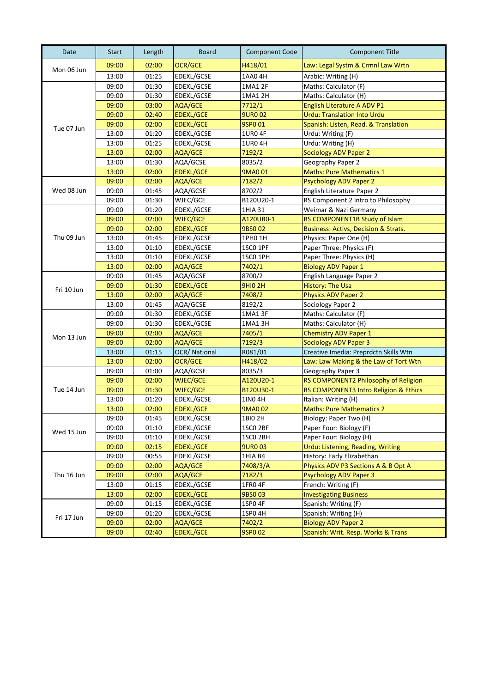| Date       | <b>Start</b> | Length | <b>Board</b>        | <b>Component Code</b> | <b>Component Title</b>                          |
|------------|--------------|--------|---------------------|-----------------------|-------------------------------------------------|
| Mon 06 Jun | 09:00        | 02:00  | <b>OCR/GCE</b>      | H418/01               | Law: Legal Systm & Crmnl Law Wrtn               |
|            | 13:00        | 01:25  | EDEXL/GCSE          | 1AA0 4H               | Arabic: Writing (H)                             |
|            | 09:00        | 01:30  | <b>EDEXL/GCSE</b>   | 1MA1 2F               | Maths: Calculator (F)                           |
|            | 09:00        | 01:30  | <b>EDEXL/GCSE</b>   | 1MA1 2H               | Maths: Calculator (H)                           |
| Tue 07 Jun | 09:00        | 03:00  | AQA/GCE             | 7712/1                | English Literature A ADV P1                     |
|            | 09:00        | 02:40  | <b>EDEXL/GCE</b>    | <b>9URO 02</b>        | <b>Urdu: Translation Into Urdu</b>              |
|            | 09:00        | 02:00  | <b>EDEXL/GCE</b>    | 9SP0 01               | Spanish: Listen, Read. & Translation            |
|            | 13:00        | 01:20  | EDEXL/GCSE          | <b>1UR0 4F</b>        | Urdu: Writing (F)                               |
|            | 13:00        | 01:25  | EDEXL/GCSE          | <b>1URO 4H</b>        | Urdu: Writing (H)                               |
|            | 13:00        | 02:00  | AQA/GCE             | 7192/2                | <b>Sociology ADV Paper 2</b>                    |
|            | 13:00        | 01:30  | AQA/GCSE            | 8035/2                | Geography Paper 2                               |
|            | 13:00        | 02:00  | <b>EDEXL/GCE</b>    | 9MA001                | <b>Maths: Pure Mathematics 1</b>                |
|            | 09:00        | 02:00  | <b>AQA/GCE</b>      | 7182/2                | <b>Psychology ADV Paper 2</b>                   |
| Wed 08 Jun | 09:00        | 01:45  | AQA/GCSE            | 8702/2                | English Literature Paper 2                      |
|            | 09:00        | 01:30  | WJEC/GCE            | B120U20-1             | RS Component 2 Intro to Philosophy              |
|            | 09:00        | 01:20  | EDEXL/GCSE          | 1HIA 31               | Weimar & Nazi Germany                           |
|            | 09:00        | 02:00  | <b>WJEC/GCE</b>     | A120UB0-1             | RS COMPONENT1B Study of Islam                   |
|            | 09:00        | 02:00  | <b>EDEXL/GCE</b>    | 9BS002                | <b>Business: Activs, Decision &amp; Strats.</b> |
| Thu 09 Jun | 13:00        | 01:45  | EDEXL/GCSE          | 1PH0 1H               | Physics: Paper One (H)                          |
|            | 13:00        | 01:10  | EDEXL/GCSE          | 1SCO 1PF              | Paper Three: Physics (F)                        |
|            | 13:00        | 01:10  | <b>EDEXL/GCSE</b>   | 1SCO 1PH              | Paper Three: Physics (H)                        |
|            | 13:00        | 02:00  | AQA/GCE             | 7402/1                | <b>Biology ADV Paper 1</b>                      |
|            | 09:00        | 01:45  | AQA/GCSE            | 8700/2                | English Language Paper 2                        |
|            | 09:00        | 01:30  | <b>EDEXL/GCE</b>    | <b>9HIO 2H</b>        | <b>History: The Usa</b>                         |
| Fri 10 Jun | 13:00        | 02:00  | AQA/GCE             | 7408/2                | <b>Physics ADV Paper 2</b>                      |
|            | 13:00        | 01:45  | AQA/GCSE            | 8192/2                | Sociology Paper 2                               |
|            | 09:00        | 01:30  | EDEXL/GCSE          | 1MA13F                | Maths: Calculator (F)                           |
|            | 09:00        | 01:30  | EDEXL/GCSE          | 1MA13H                | Maths: Calculator (H)                           |
|            | 09:00        | 02:00  | AQA/GCE             | 7405/1                | <b>Chemistry ADV Paper 1</b>                    |
| Mon 13 Jun | 09:00        | 02:00  | AQA/GCE             | 7192/3                | <b>Sociology ADV Paper 3</b>                    |
|            | 13:00        | 01:15  | <b>OCR/National</b> | R081/01               | Creative Imedia: Preprdctn Skills Wtn           |
|            | 13:00        | 02:00  | <b>OCR/GCE</b>      | H418/02               | Law: Law Making & the Law of Tort Wtn           |
|            | 09:00        | 01:00  | AQA/GCSE            | 8035/3                | Geography Paper 3                               |
|            | 09:00        | 02:00  | <b>WJEC/GCE</b>     | A120U20-1             | RS COMPONENT2 Philosophy of Religion            |
| Tue 14 Jun | 09:00        | 01:30  | WJEC/GCE            | B120U30-1             | RS COMPONENT3 Intro Religion & Ethics           |
|            | 13:00        | 01:20  | EDEXL/GCSE          | 1IN0 4H               | Italian: Writing (H)                            |
|            | 13:00        | 02:00  | <b>EDEXL/GCE</b>    | 9MA0 02               | <b>Maths: Pure Mathematics 2</b>                |
| Wed 15 Jun | 09:00        | 01:45  | EDEXL/GCSE          | 1BI0 2H               | Biology: Paper Two (H)                          |
|            | 09:00        | 01:10  | EDEXL/GCSE          | 1SCO 2BF              | Paper Four: Biology (F)                         |
|            | 09:00        | 01:10  | EDEXL/GCSE          | 1SCO 2BH              | Paper Four: Biology (H)                         |
|            | 09:00        | 02:15  | <b>EDEXL/GCE</b>    | <b>9URO 03</b>        | Urdu: Listening, Reading, Writing               |
| Thu 16 Jun | 09:00        | 00:55  | EDEXL/GCSE          | 1HIA B4               | History: Early Elizabethan                      |
|            | 09:00        | 02:00  | AQA/GCE             | 7408/3/A              | Physics ADV P3 Sections A & B Opt A             |
|            | 09:00        | 02:00  | AQA/GCE             | 7182/3                | <b>Psychology ADV Paper 3</b>                   |
|            | 13:00        | 01:15  | EDEXL/GCSE          | 1FR04F                | French: Writing (F)                             |
|            | 13:00        | 02:00  | EDEXL/GCE           | 9BS003                | <b>Investigating Business</b>                   |
| Fri 17 Jun | 09:00        | 01:15  | EDEXL/GCSE          | 1SP0 4F               | Spanish: Writing (F)                            |
|            | 09:00        | 01:20  | EDEXL/GCSE          | 1SP0 4H               | Spanish: Writing (H)                            |
|            | 09:00        | 02:00  | AQA/GCE             | 7402/2                | <b>Biology ADV Paper 2</b>                      |
|            | 09:00        | 02:40  | <b>EDEXL/GCE</b>    | 9SP0 02               | Spanish: Writ. Resp. Works & Trans              |